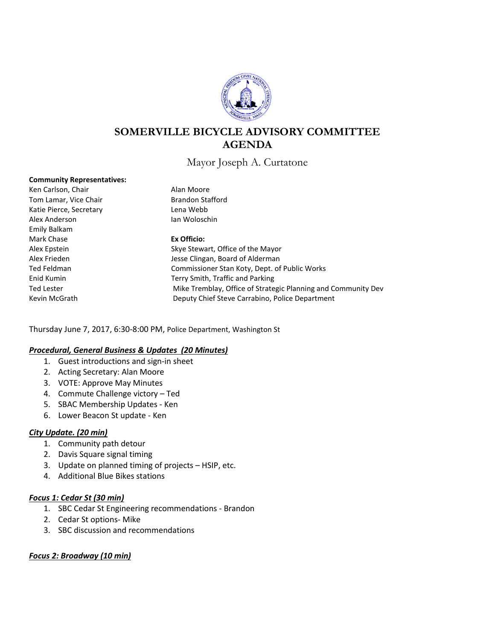

# **SOMERVILLE BICYCLE ADVISORY COMMITTEE AGENDA**

Mayor Joseph A. Curtatone

#### **Community Representatives:**

Ken Carlson, Chair **Alan Moore** Tom Lamar, Vice Chair **Brandon Stafford** Katie Pierce, Secretary **Lena Webb** Alex Anderson **Ian Woloschin** Emily Balkam Mark Chase **Ex Officio:**

Alex Epstein Skye Stewart, Office of the Mayor Alex Frieden **Alex Frieden** Jesse Clingan, Board of Alderman Ted Feldman Commissioner Stan Koty, Dept. of Public Works Enid Kumin Terry Smith, Traffic and Parking Ted Lester **Mike Tremblay, Office of Strategic Planning and Community Dev** Mike Tremblay, Office of Strategic Planning and Community Dev Kevin McGrath Deputy Chief Steve Carrabino, Police Department

Thursday June 7, 2017, 6:30-8:00 PM, Police Department, Washington St

#### *Procedural, General Business & Updates (20 Minutes)*

- 1. Guest introductions and sign-in sheet
- 2. Acting Secretary: Alan Moore
- 3. VOTE: Approve May Minutes
- 4. Commute Challenge victory Ted
- 5. SBAC Membership Updates Ken
- 6. Lower Beacon St update Ken

## *City Update. (20 min)*

- 1. Community path detour
- 2. Davis Square signal timing
- 3. Update on planned timing of projects HSIP, etc.
- 4. Additional Blue Bikes stations

#### *Focus 1: Cedar St (30 min)*

- 1. SBC Cedar St Engineering recommendations Brandon
- 2. Cedar St options- Mike
- 3. SBC discussion and recommendations

## *Focus 2: Broadway (10 min)*